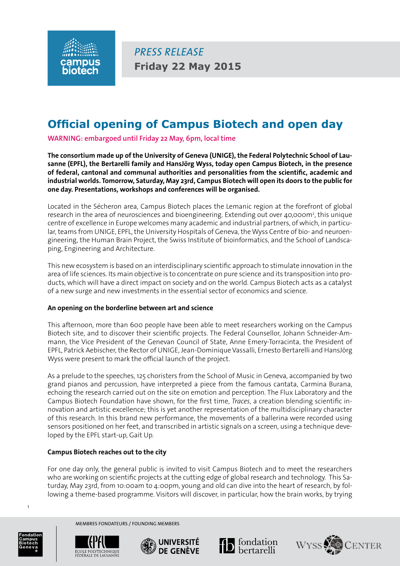

*press release* **Friday 22 May 2015**

# **Official opening of Campus Biotech and open day**

**WARNING: embargoed until Friday 22 May, 6pm, local time**

**The consortium made up of the University of Geneva (UNIGE), the Federal Polytechnic School of Lausanne (EPFL), the Bertarelli family and HansJörg Wyss, today open Campus Biotech, in the presence of federal, cantonal and communal authorities and personalities from the scientific, academic and industrial worlds. Tomorrow, Saturday, May 23rd, Campus Biotech will open its doors to the public for one day. Presentations, workshops and conferences will be organised.**

Located in the Sécheron area, Campus Biotech places the Lemanic region at the forefront of global research in the area of neurosciences and bioengineering. Extending out over 40,000m<sup>2</sup>, this unique centre of excellence in Europe welcomes many academic and industrial partners, of which, in particular, teams from UNIGE, EPFL, the University Hospitals of Geneva, the Wyss Centre of bio- and neuroengineering, the Human Brain Project, the Swiss Institute of bioinformatics, and the School of Landscaping, Engineering and Architecture.

This new ecosystem is based on an interdisciplinary scientific approach to stimulate innovation in the area of life sciences. Its main objective is to concentrate on pure science and its transposition into products, which will have a direct impact on society and on the world. Campus Biotech acts as a catalyst of a new surge and new investments in the essential sector of economics and science.

### **An opening on the borderline between art and science**

This afternoon, more than 600 people have been able to meet researchers working on the Campus Biotech site, and to discover their scientific projects. The Federal Counsellor, Johann Schneider-Ammann, the Vice President of the Genevan Council of State, Anne Emery-Torracinta, the President of EPFL, Patrick Aebischer, the Rector of UNIGE, Jean-Dominique Vassalli, Ernesto Bertarelli and HansJörg Wyss were present to mark the official launch of the project.

As a prelude to the speeches, 125 choristers from the School of Music in Geneva, accompanied by two grand pianos and percussion, have interpreted a piece from the famous cantata, Carmina Burana, echoing the research carried out on the site on emotion and perception. The Flux Laboratory and the Campus Biotech Foundation have shown, for the first time, *Traces*, a creation blending scientific innovation and artistic excellence; this is yet another representation of the multidisciplinary character of this research. In this brand new performance, the movements of a ballerina were recorded using sensors positioned on her feet, and transcribed in artistic signals on a screen, using a technique developed by the EPFL start-up, Gait Up.

### **Campus Biotech reaches out to the city**

For one day only, the general public is invited to visit Campus Biotech and to meet the researchers who are working on scientific projects at the cutting edge of global research and technology. This Saturday, May 23rd, from 10:00am to 4:00pm, young and old can dive into the heart of research, by following a theme-based programme. Visitors will discover, in particular, how the brain works, by trying



1



membres fondateurs / Founding members